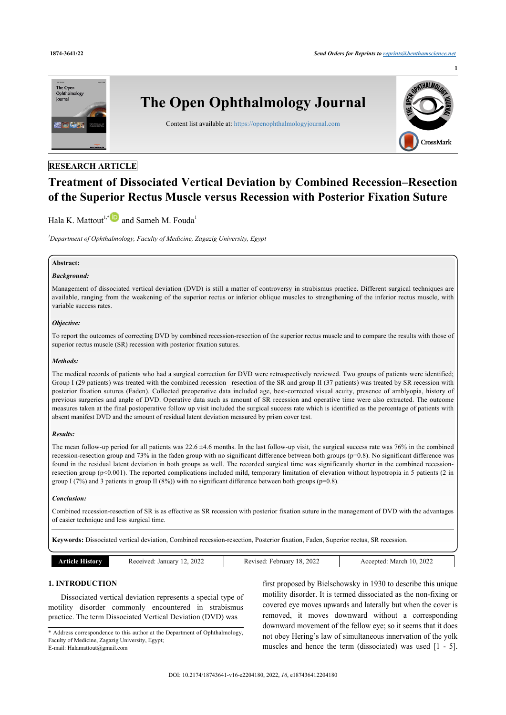

# **RESEARCH ARTICLE**

# **Treatment of Dissociated Vertical Deviation by Combined Recession–Resection of the Superior Rectus Muscle versus Recession with Posterior Fixation Suture**

# Hala K. Mattout<sup>[1,](#page-0-0)[\\*](#page-0-1)</sup>and Sameh M. Fouda<sup>[1](#page-0-0)</sup>

<span id="page-0-0"></span>*<sup>1</sup>Department of Ophthalmology, Faculty of Medicine, Zagazig University, Egypt*

### **Abstract:**

## *Background:*

Management of dissociated vertical deviation (DVD) is still a matter of controversy in strabismus practice. Different surgical techniques are available, ranging from the weakening of the superior rectus or inferior oblique muscles to strengthening of the inferior rectus muscle, with variable success rates.

#### *Objective:*

To report the outcomes of correcting DVD by combined recession-resection of the superior rectus muscle and to compare the results with those of superior rectus muscle (SR) recession with posterior fixation sutures.

#### *Methods:*

The medical records of patients who had a surgical correction for DVD were retrospectively reviewed. Two groups of patients were identified; Group I (29 patients) was treated with the combined recession –resection of the SR and group II (37 patients) was treated by SR recession with posterior fixation sutures (Faden). Collected preoperative data included age, best-corrected visual acuity, presence of amblyopia, history of previous surgeries and angle of DVD. Operative data such as amount of SR recession and operative time were also extracted. The outcome measures taken at the final postoperative follow up visit included the surgical success rate which is identified as the percentage of patients with absent manifest DVD and the amount of residual latent deviation measured by prism cover test.

#### *Results:*

The mean follow-up period for all patients was  $22.6 \pm 4.6$  months. In the last follow-up visit, the surgical success rate was 76% in the combined recession-resection group and 73% in the faden group with no significant difference between both groups (p=0.8). No significant difference was found in the residual latent deviation in both groups as well. The recorded surgical time was significantly shorter in the combined recessionresection group (p<0.001). The reported complications included mild, temporary limitation of elevation without hypotropia in 5 patients (2 in group I (7%) and 3 patients in group II (8%)) with no significant difference between both groups ( $p=0.8$ ).

### *Conclusion:*

Combined recession-resection of SR is as effective as SR recession with posterior fixation suture in the management of DVD with the advantages of easier technique and less surgical time.

**Keywords:** Dissociated vertical deviation, Combined recession-resection, Posterior fixation, Faden, Superior rectus, SR recession.

## **1. INTRODUCTION**

Dissociated vertical deviation represents a special type of motility disorder commonly encountered in strabismus practice. The term Dissociated Vertical Deviation (DVD) was

first proposed by Bielschowsky in 1930 to describe this unique motility disorder. It is termed dissociated as the non-fixing or covered eye moves upwards and laterally but when the cover is removed, it moves downward without a corresponding downward movement of the fellow eye; so it seems that it does not obey Hering's law of simultaneous innervation of the yolk muscles and hence the term (dissociated) was used [\[1](#page-5-0) - [5](#page-5-1)].

<span id="page-0-1"></span><sup>\*</sup> Address correspondence to this author at the Department of Ophthalmology, Faculty of Medicine, Zagazig University, Egypt; E-mail: [Halamattout@gmail.com](mailto:Halamattout@gmail.com)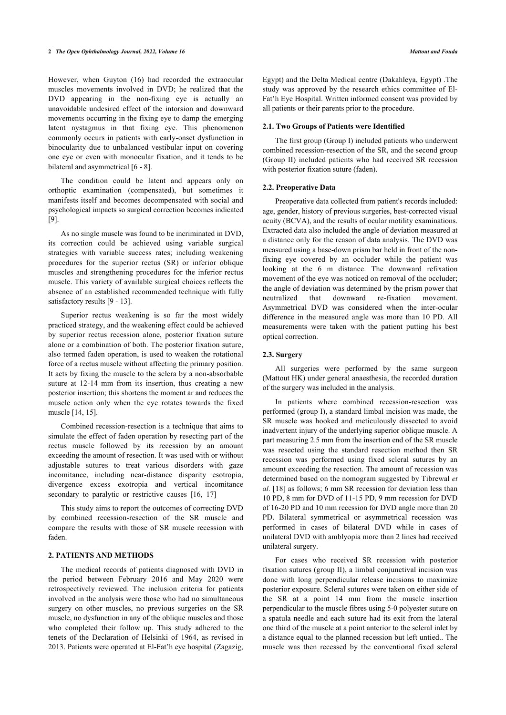However, when Guyton (16) had recorded the extraocular muscles movements involved in DVD; he realized that the DVD appearing in the non-fixing eye is actually an unavoidable undesired effect of the intorsion and downward movements occurring in the fixing eye to damp the emerging latent nystagmus in that fixing eye. This phenomenon commonly occurs in patients with early-onset dysfunction in binocularity due to unbalanced vestibular input on covering one eye or even with monocular fixation, and it tends to be bilateral and asymmetrical [\[6](#page-5-2) - [8\]](#page-5-3).

The condition could be latent and appears only on orthoptic examination (compensated), but sometimes it manifests itself and becomes decompensated with social and psychological impacts so surgical correction becomes indicated [[9](#page-5-4)].

As no single muscle was found to be incriminated in DVD, its correction could be achieved using variable surgical strategies with variable success rates; including weakening procedures for the superior rectus (SR) or inferior oblique muscles and strengthening procedures for the inferior rectus muscle. This variety of available surgical choices reflects the absence of an established recommended technique with fully satisfactory results [\[9](#page-5-4) - [13](#page-5-5)].

Superior rectus weakening is so far the most widely practiced strategy, and the weakening effect could be achieved by superior rectus recession alone, posterior fixation suture alone or a combination of both. The posterior fixation suture, also termed faden operation, is used to weaken the rotational force of a rectus muscle without affecting the primary position. It acts by fixing the muscle to the sclera by a non-absorbable suture at 12-14 mm from its insertion, thus creating a new posterior insertion; this shortens the moment ar and reduces the muscle action only when the eye rotates towards the fixed muscle [\[14](#page-5-6), [15\]](#page-5-7).

Combined recession-resection is a technique that aims to simulate the effect of faden operation by resecting part of the rectus muscle followed by its recession by an amount exceeding the amount of resection. It was used with or without adjustable sutures to treat various disorders with gaze incomitance, including near-distance disparity esotropia, divergence excess exotropia and vertical incomitance secondary to paralytic or restrictive causes [\[16](#page-5-8), [17\]](#page-5-9)

This study aims to report the outcomes of correcting DVD by combined recession-resection of the SR muscle and compare the results with those of SR muscle recession with faden.

### **2. PATIENTS AND METHODS**

The medical records of patients diagnosed with DVD in the period between February 2016 and May 2020 were retrospectively reviewed. The inclusion criteria for patients involved in the analysis were those who had no simultaneous surgery on other muscles, no previous surgeries on the SR muscle, no dysfunction in any of the oblique muscles and those who completed their follow up. This study adhered to the tenets of the Declaration of Helsinki of 1964, as revised in 2013. Patients were operated at El-Fat'h eye hospital (Zagazig,

Egypt) and the Delta Medical centre (Dakahleya, Egypt) .The study was approved by the research ethics committee of El-Fat'h Eye Hospital. Written informed consent was provided by all patients or their parents prior to the procedure.

#### **2.1. Two Groups of Patients were Identified**

The first group (Group I) included patients who underwent combined recession-resection of the SR, and the second group (Group II) included patients who had received SR recession with posterior fixation suture (faden).

#### **2.2. Preoperative Data**

Preoperative data collected from patient's records included: age, gender, history of previous surgeries, best-corrected visual acuity (BCVA), and the results of ocular motility examinations. Extracted data also included the angle of deviation measured at a distance only for the reason of data analysis. The DVD was measured using a base-down prism bar held in front of the nonfixing eye covered by an occluder while the patient was looking at the 6 m distance. The downward refixation movement of the eye was noticed on removal of the occluder; the angle of deviation was determined by the prism power that neutralized that downward re-fixation movement. Asymmetrical DVD was considered when the inter-ocular difference in the measured angle was more than 10 PD. All measurements were taken with the patient putting his best optical correction.

### **2.3. Surgery**

All surgeries were performed by the same surgeon (Mattout HK) under general anaesthesia, the recorded duration of the surgery was included in the analysis.

In patients where combined recession-resection was performed (group I), a standard limbal incision was made, the SR muscle was hooked and meticulously dissected to avoid inadvertent injury of the underlying superior oblique muscle. A part measuring 2.5 mm from the insertion end of the SR muscle was resected using the standard resection method then SR recession was performed using fixed scleral sutures by an amount exceeding the resection. The amount of recession was determined based on the nomogram suggested by Tibrewal *et al.* [\[18](#page-5-10)] as follows; 6 mm SR recession for deviation less than 10 PD, 8 mm for DVD of 11-15 PD, 9 mm recession for DVD of 16-20 PD and 10 mm recession for DVD angle more than 20 PD. Bilateral symmetrical or asymmetrical recession was performed in cases of bilateral DVD while in cases of unilateral DVD with amblyopia more than 2 lines had received unilateral surgery.

For cases who received SR recession with posterior fixation sutures (group II), a limbal conjunctival incision was done with long perpendicular release incisions to maximize posterior exposure. Scleral sutures were taken on either side of the SR at a point 14 mm from the muscle insertion perpendicular to the muscle fibres using 5-0 polyester suture on a spatula needle and each suture had its exit from the lateral one third of the muscle at a point anterior to the scleral inlet by a distance equal to the planned recession but left untied.. The muscle was then recessed by the conventional fixed scleral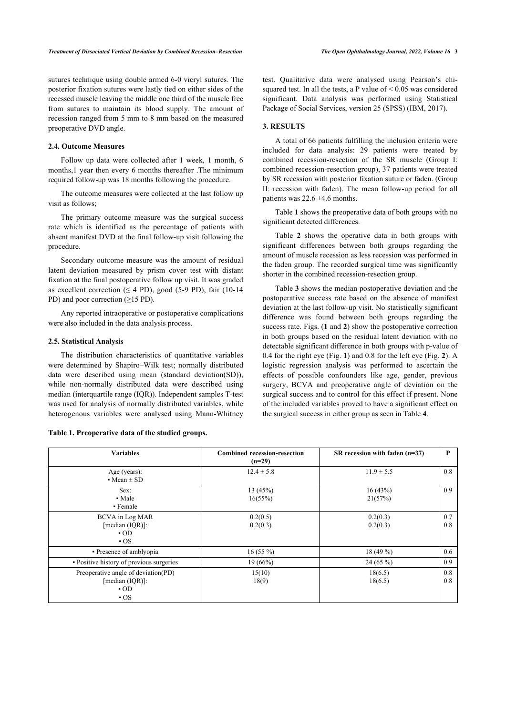sutures technique using double armed 6-0 vicryl sutures. The posterior fixation sutures were lastly tied on either sides of the recessed muscle leaving the middle one third of the muscle free from sutures to maintain its blood supply. The amount of recession ranged from 5 mm to 8 mm based on the measured preoperative DVD angle.

### **2.4. Outcome Measures**

Follow up data were collected after 1 week, 1 month, 6 months,1 year then every 6 months thereafter .The minimum required follow-up was 18 months following the procedure.

The outcome measures were collected at the last follow up visit as follows;

The primary outcome measure was the surgical success rate which is identified as the percentage of patients with absent manifest DVD at the final follow-up visit following the procedure.

Secondary outcome measure was the amount of residual latent deviation measured by prism cover test with distant fixation at the final postoperative follow up visit. It was graded as excellent correction ( $\leq$  4 PD), good (5-9 PD), fair (10-14 PD) and poor correction (≥15 PD).

Any reported intraoperative or postoperative complications were also included in the data analysis process.

### **2.5. Statistical Analysis**

The distribution characteristics of quantitative variables were determined by Shapiro–Wilk test; normally distributed data were described using mean (standard deviation(SD)), while non-normally distributed data were described using median (interquartile range (IQR)). Independent samples T-test was used for analysis of normally distributed variables, while heterogenous variables were analysed using Mann-Whitney test. Qualitative data were analysed using Pearson's chisquared test. In all the tests, a P value of  $\leq 0.05$  was considered significant. Data analysis was performed using Statistical Package of Social Services, version 25 (SPSS) (IBM, 2017).

# **3. RESULTS**

A total of 66 patients fulfilling the inclusion criteria were included for data analysis: 29 patients were treated by combined recession-resection of the SR muscle (Group I: combined recession-resection group), 37 patients were treated by SR recession with posterior fixation suture or faden. (Group II: recession with faden). The mean follow-up period for all patients was  $22.6 \pm 4.6$  months.

Table **[1](#page-2-0)** shows the preoperative data of both groups with no significant detected differences.

Table**2** shows the operative data in both groups with significant differences between both groups regarding the amount of muscle recession as less recession was performed in the faden group. The recorded surgical time was significantly shorter in the combined recession-resection group.

Table **[3](#page-3-0)** shows the median postoperative deviation and the postoperative success rate based on the absence of manifest deviation at the last follow-up visit. No statistically significant difference was found between both groups regarding the success rate. Figs. (**[1](#page-3-1)** and **[2](#page-3-2)**) show the postoperative correction in both groups based on the residual latent deviation with no detectable significant difference in both groups with p-value of 0.4 for the right eye (Fig. **[1](#page-3-1)**) and 0.8 for the left eye (Fig. **[2](#page-3-2)**). A logistic regression analysis was performed to ascertain the effects of possible confounders like age, gender, previous surgery, BCVA and preoperative angle of deviation on the surgical success and to control for this effect if present. None of the included variables proved to have a significant effect on the surgical success in either group as seen in Table **[4](#page-3-3)**.

<span id="page-2-1"></span>

| <b>Variables</b>                                                                              | <b>Combined recession-resection</b><br>$(n=29)$ | SR recession with faden $(n=37)$ |            |  |
|-----------------------------------------------------------------------------------------------|-------------------------------------------------|----------------------------------|------------|--|
| Age (years):<br>$Mean \pm SD$                                                                 | $12.4 \pm 5.8$                                  | $11.9 \pm 5.5$                   | 0.8        |  |
| Sex:<br>• Male<br>• Female                                                                    | 13(45%)<br>16(55%)                              | 16(43%)<br>21(57%)               | 0.9        |  |
| BCVA in Log MAR<br>[median $(IQR)$ ]:<br>$-OD$<br>$\cdot$ OS                                  | 0.2(0.5)<br>0.2(0.3)                            | 0.2(0.3)<br>0.2(0.3)             | 0.7<br>0.8 |  |
| • Presence of amblyopia                                                                       | $16(55\%)$                                      | 18 (49 %)                        | 0.6        |  |
| • Positive history of previous surgeries                                                      | 19(66%)                                         | $24(65\%)$                       | 0.9        |  |
| Preoperative angle of deviation(PD)<br>[median $(IQR)$ ]:<br>$-OD$<br>$\overline{\textbf{O}}$ | 15(10)<br>18(9)                                 | 18(6.5)<br>18(6.5)               | 0.8<br>0.8 |  |

<span id="page-2-0"></span>

| Table 1. Preoperative data of the studied groups. |  |  |  |  |  |  |  |
|---------------------------------------------------|--|--|--|--|--|--|--|
|---------------------------------------------------|--|--|--|--|--|--|--|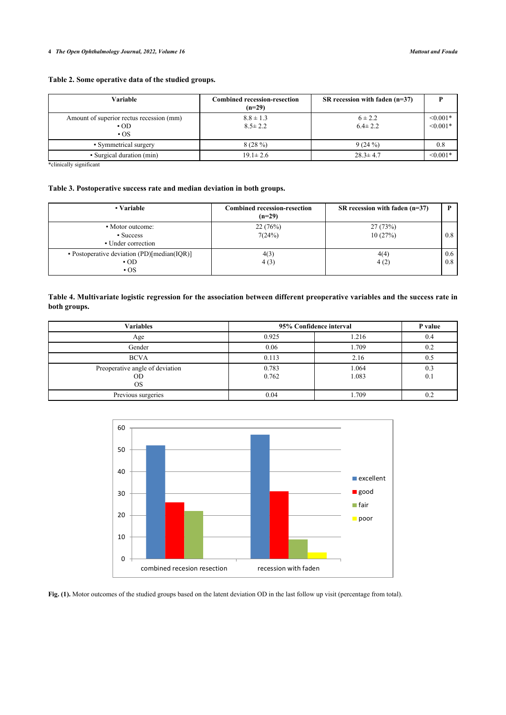# **Table 2. Some operative data of the studied groups.**

| <b>Variable</b>                                            | <b>Combined recession-resection</b><br>$(n=29)$ | SR recession with faden $(n=37)$ |                          |
|------------------------------------------------------------|-------------------------------------------------|----------------------------------|--------------------------|
| Amount of superior rectus recession (mm)<br>$-OD$<br>$-OS$ | $8.8 \pm 1.3$<br>$8.5 \pm 2.2$                  | $6 \pm 2.2$<br>$6.4 \pm 2.2$     | $< 0.001*$<br>$< 0.001*$ |
| • Symmetrical surgery                                      | 8(28%)                                          | 9(24%)                           | 0.8                      |
| • Surgical duration (min)                                  | $19.1 \pm 2.6$                                  | $28.3 \pm 4.7$                   | $< 0.001*$               |

\*clinically significant

# <span id="page-3-0"></span>**Table 3. Postoperative success rate and median deviation in both groups.**

| • Variable                                                           | <b>Combined recession-resection</b><br>$(n=29)$ | SR recession with faden $(n=37)$ |            |
|----------------------------------------------------------------------|-------------------------------------------------|----------------------------------|------------|
| • Motor outcome:<br>• Success<br>• Under correction                  | 22(76%)<br>7(24%)                               | 27(73%)<br>10(27%)               | 0.8        |
| • Postoperative deviation $(PD)[median(IQR)]$<br>$\cdot$ OD<br>$-OS$ | 4(3)<br>4(3)                                    | 4(4)<br>4(2)                     | 0.6<br>0.8 |

# <span id="page-3-3"></span>**Table 4. Multivariate logistic regression for the association between different preoperative variables and the success rate in both groups.**

| <b>Variables</b>                            | 95% Confidence interval | P value        |            |
|---------------------------------------------|-------------------------|----------------|------------|
| Age                                         | 0.925                   | 1.216          | 0.4        |
| Gender                                      | 0.06                    | 1.709          | 0.2        |
| <b>BCVA</b>                                 | 0.113                   | 2.16           | 0.5        |
| Preoperative angle of deviation<br>OD<br>OS | 0.783<br>0.762          | 1.064<br>1.083 | 0.3<br>0.1 |
| Previous surgeries                          | 0.04                    | 1.709          |            |

<span id="page-3-1"></span>

<span id="page-3-2"></span>**Fig. (1).** Motor outcomes of the studied groups based on the latent deviation OD in the last follow up visit (percentage from total).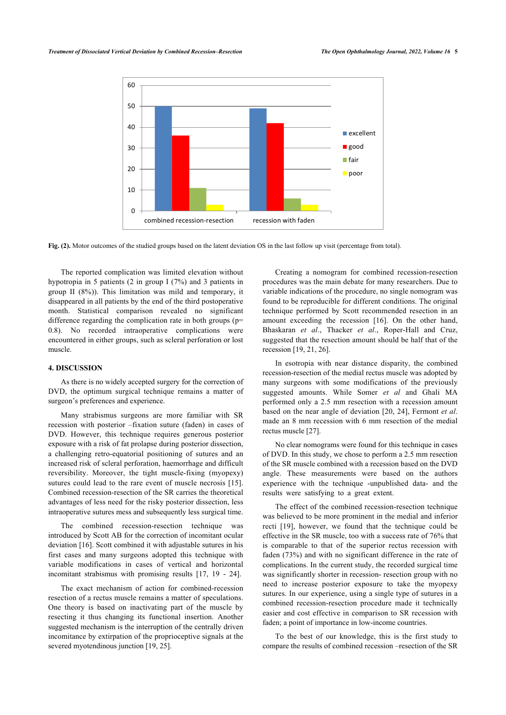

**Fig. (2).** Motor outcomes of the studied groups based on the latent deviation OS in the last follow up visit (percentage from total).

The reported complication was limited elevation without hypotropia in 5 patients (2 in group I (7%) and 3 patients in group II (8%)). This limitation was mild and temporary, it disappeared in all patients by the end of the third postoperative month. Statistical comparison revealed no significant difference regarding the complication rate in both groups (p= 0.8). No recorded intraoperative complications were encountered in either groups, such as scleral perforation or lost muscle.

# **4. DISCUSSION**

As there is no widely accepted surgery for the correction of DVD, the optimum surgical technique remains a matter of surgeon's preferences and experience.

Many strabismus surgeons are more familiar with SR recession with posterior –fixation suture (faden) in cases of DVD. However, this technique requires generous posterior exposure with a risk of fat prolapse during posterior dissection, a challenging retro-equatorial positioning of sutures and an increased risk of scleral perforation, haemorrhage and difficult reversibility. Moreover, the tight muscle-fixing (myopexy) sutures could lead to the rare event of muscle necrosis [[15\]](#page-5-7). Combined recession-resection of the SR carries the theoretical advantages of less need for the risky posterior dissection, less intraoperative sutures mess and subsequently less surgical time.

The combined recession-resection technique was introduced by Scott AB for the correction of incomitant ocular deviation [\[16](#page-5-8)]. Scott combined it with adjustable sutures in his first cases and many surgeons adopted this technique with variable modifications in cases of vertical and horizontal incomitant strabismus with promising results[[17,](#page-5-9) [19](#page-5-11) - [24\]](#page-5-12).

The exact mechanism of action for combined-recession resection of a rectus muscle remains a matter of speculations. One theory is based on inactivating part of the muscle by resecting it thus changing its functional insertion. Another suggested mechanism is the interruption of the centrally driven incomitance by extirpation of the proprioceptive signals at the severed myotendinous junction [\[19](#page-5-11), [25\]](#page-5-13).

Creating a nomogram for combined recession-resection procedures was the main debate for many researchers. Due to variable indications of the procedure, no single nomogram was found to be reproducible for different conditions. The original technique performed by Scott recommended resection in an amount exceeding the recession[[16\]](#page-5-8). On the other hand, Bhaskaran *et al*., Thacker *et al*., Roper-Hall and Cruz, suggested that the resection amount should be half that of the recession [[19,](#page-5-11) [21](#page-5-14), [26\]](#page-6-0).

In esotropia with near distance disparity, the combined recession-resection of the medial rectus muscle was adopted by many surgeons with some modifications of the previously suggested amounts. While Somer *et al* and Ghali MA performed only a 2.5 mm resection with a recession amount based on the near angle of deviation [[20](#page-5-15), [24\]](#page-5-12), Fermont *et al*. made an 8 mm recession with 6 mm resection of the medial rectus muscle [\[27](#page-6-1)].

No clear nomograms were found for this technique in cases of DVD. In this study, we chose to perform a 2.5 mm resection of the SR muscle combined with a recession based on the DVD angle. These measurements were based on the authors experience with the technique -unpublished data- and the results were satisfying to a great extent.

The effect of the combined recession-resection technique was believed to be more prominent in the medial and inferior recti[[19](#page-5-11)], however, we found that the technique could be effective in the SR muscle, too with a success rate of 76% that is comparable to that of the superior rectus recession with faden (73%) and with no significant difference in the rate of complications. In the current study, the recorded surgical time was significantly shorter in recession- resection group with no need to increase posterior exposure to take the myopexy sutures. In our experience, using a single type of sutures in a combined recession-resection procedure made it technically easier and cost effective in comparison to SR recession with faden; a point of importance in low-income countries.

To the best of our knowledge, this is the first study to compare the results of combined recession –resection of the SR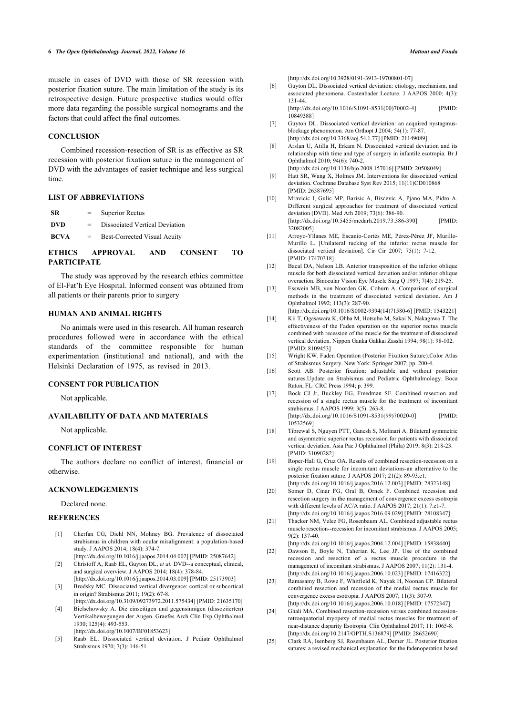<span id="page-5-2"></span>muscle in cases of DVD with those of SR recession with posterior fixation suture. The main limitation of the study is its retrospective design. Future prospective studies would offer more data regarding the possible surgical nomograms and the factors that could affect the final outcomes.

### **CONCLUSION**

<span id="page-5-3"></span>Combined recession-resection of SR is as effective as SR recession with posterior fixation suture in the management of DVD with the advantages of easier technique and less surgical time.

### <span id="page-5-4"></span>**LIST OF ABBREVIATIONS**

| <b>ETHLOO</b> |                           | $\lambda$ DDD $\bigcap$ $\mathbf{Y}$ $\mathbf{Z}$ $\mathbf{X}$<br><b>CONTOUNIT</b><br>$\blacksquare$ |  |  |  |  |
|---------------|---------------------------|------------------------------------------------------------------------------------------------------|--|--|--|--|
| <b>BCVA</b>   | $\mathbf{r} = \mathbf{r}$ | Best-Corrected Visual Acuity                                                                         |  |  |  |  |
| DVD           | $=$                       | Dissociated Vertical Deviation                                                                       |  |  |  |  |
| <b>SR</b>     | $=$                       | <b>Superior Rectus</b>                                                                               |  |  |  |  |

# **ETHICS APPROVAL AND CONSENT TO PARTICIPATE**

<span id="page-5-5"></span>The study was approved by the research ethics committee of El-Fat'h Eye Hospital. Informed consent was obtained from all patients or their parents prior to surgery

# **HUMAN AND ANIMAL RIGHTS**

<span id="page-5-6"></span>No animals were used in this research. All human research procedures followed were in accordance with the ethical standards of the committee responsible for human experimentation (institutional and national), and with the Helsinki Declaration of 1975, as revised in 2013.

### <span id="page-5-9"></span><span id="page-5-8"></span><span id="page-5-7"></span>**CONSENT FOR PUBLICATION**

Not applicable.

# <span id="page-5-10"></span>**AVAILABILITY OF DATA AND MATERIALS**

Not applicable.

### **CONFLICT OF INTEREST**

<span id="page-5-11"></span>The authors declare no conflict of interest, financial or otherwise.

### <span id="page-5-15"></span>**ACKNOWLEDGEMENTS**

Declared none.

### <span id="page-5-14"></span><span id="page-5-0"></span>**REFERENCES**

- [1] Cherfan CG, Diehl NN, Mohney BG. Prevalence of dissociated strabismus in children with ocular misalignment: a population-based study. J AAPOS 2014; 18(4): 374-7. [\[http://dx.doi.org/10.1016/j.jaapos.2014.04.002\]](http://dx.doi.org/10.1016/j.jaapos.2014.04.002) [PMID: [25087642](http://www.ncbi.nlm.nih.gov/pubmed/25087642)]
- [2] Christoff A, Raab EL, Guyton DL, et al. DVD--a conceptual, clinical, and surgical overview. J AAPOS 2014; 18(4): 378-84.
- [\[http://dx.doi.org/10.1016/j.jaapos.2014.03.009\]](http://dx.doi.org/10.1016/j.jaapos.2014.03.009) [PMID: [25173903](http://www.ncbi.nlm.nih.gov/pubmed/25173903)] [3] Brodsky MC. Dissociated vertical divergence: cortical or subcortical in origin? Strabismus 2011; 19(2): 67-8.

[\[http://dx.doi.org/10.3109/09273972.2011.575434\]](http://dx.doi.org/10.3109/09273972.2011.575434) [PMID: [21635170](http://www.ncbi.nlm.nih.gov/pubmed/21635170)]

<span id="page-5-12"></span>[4] Bielschowsky A. Die einseitigen und gegensinnigen (dissoziierten) Vertikalbewegungen der Augen. Graefes Arch Clin Exp Ophthalmol 1930; 125(4): 493-553.

[\[http://dx.doi.org/10.1007/BF01853623\]](http://dx.doi.org/10.1007/BF01853623)

<span id="page-5-13"></span><span id="page-5-1"></span>[5] Raab EL. Dissociated vertical deviation. J Pediatr Ophthalmol Strabismus 1970; 7(3): 146-51.

[\[http://dx.doi.org/10.3928/0191-3913-19700801-07](http://dx.doi.org/10.3928/0191-3913-19700801-07)]

[6] Guyton DL. Dissociated vertical deviation: etiology, mechanism, and associated phenomena. Costenbader Lecture. J AAPOS 2000; 4(3): 131-44.

[\[http://dx.doi.org/10.1016/S1091-8531\(00\)70002-4](http://dx.doi.org/10.1016/S1091-8531(00)70002-4)] [PMID: [10849388\]](http://www.ncbi.nlm.nih.gov/pubmed/10849388)

- [7] Guyton DL. Dissociated vertical deviation: an acquired nystagmusblockage phenomenon. Am Orthopt J 2004; 54(1): 77-87. [\[http://dx.doi.org/10.3368/aoj.54.1.77\]](http://dx.doi.org/10.3368/aoj.54.1.77) [PMID: [21149089](http://www.ncbi.nlm.nih.gov/pubmed/21149089)]
- [8] Arslan U, Atilla H, Erkam N. Dissociated vertical deviation and its relationship with time and type of surgery in infantile esotropia. Br J Ophthalmol 2010; 94(6): 740-2.
- [\[http://dx.doi.org/10.1136/bjo.2008.157016\]](http://dx.doi.org/10.1136/bjo.2008.157016) [PMID: [20508049\]](http://www.ncbi.nlm.nih.gov/pubmed/20508049) [9] Hatt SR, Wang X, Holmes JM. Interventions for dissociated vertical deviation. Cochrane Database Syst Rev 2015; 11(11)CD010868 [PMID: [26587695\]](http://www.ncbi.nlm.nih.gov/pubmed/26587695)
- [10] Mravicic I, Gulic MP, Barisic A, Biscevic A, Pjano MA, Pidro A. Different surgical approaches for treatment of dissociated vertical deviation (DVD). Med Arh 2019; 73(6): 386-90. [\[http://dx.doi.org/10.5455/medarh.2019.73.386-390\]](http://dx.doi.org/10.5455/medarh.2019.73.386-390) [PMID: [32082005\]](http://www.ncbi.nlm.nih.gov/pubmed/32082005)
- [11] Arroyo-Yllanes ME, Escanio-Cortés ME, Pérez-Pérez JF, Murillo-Murillo L. [Unilateral tucking of the inferior rectus muscle for dissociated vertical deviation]. Cir Cir 2007; 75(1): 7-12. [PMID: [17470318\]](http://www.ncbi.nlm.nih.gov/pubmed/17470318)
- [12] Bacal DA, Nelson LB. Anterior transposition of the inferior oblique muscle for both dissociated vertical deviation and/or inferior oblique overaction. Binocular Vision Eye Muscle Surg Q 1997; 7(4): 219-25.
- [13] Esswein MB, von Noorden GK, Coburn A. Comparison of surgical methods in the treatment of dissociated vertical deviation. Am J Ophthalmol 1992; 113(3): 287-90.
- [\[http://dx.doi.org/10.1016/S0002-9394\(14\)71580-6\]](http://dx.doi.org/10.1016/S0002-9394(14)71580-6) [PMID: [1543221\]](http://www.ncbi.nlm.nih.gov/pubmed/1543221) [14] Kii T, Ogasawara K, Ohba M, Hotsubo M, Sakai N, Nakagawa T. The
- effectiveness of the Faden operation on the superior rectus muscle combined with recession of the muscle for the treatment of dissociated vertical deviation. Nippon Ganka Gakkai Zasshi 1994; 98(1): 98-102. [PMID: [8109453](http://www.ncbi.nlm.nih.gov/pubmed/8109453)]
- [15] Wright KW. Faden Operation (Posterior Fixation Suture).Color Atlas of Strabismus Surgery. New York: Springer 2007; pp. 200-4.
- [16] Scott AB. Posterior fixation: adjustable and without posterior sutures.Update on Strabismus and Pediatric Ophthalmology. Boca Raton, FL: CRC Press 1994; p. 399.
- [17] Bock CJ Jr, Buckley EG, Freedman SF. Combined resection and recession of a single rectus muscle for the treatment of incomitant strabismus. J AAPOS 1999; 3(5): 263-8. [\[http://dx.doi.org/10.1016/S1091-8531\(99\)70020-0](http://dx.doi.org/10.1016/S1091-8531(99)70020-0)] [PMID:
- [18] Tibrewal S, Nguyen PTT, Ganesh S, Molinari A. Bilateral symmetric and asymmetric superior rectus recession for patients with dissociated vertical deviation. Asia Pac J Ophthalmol (Phila) 2019; 8(3): 218-23. [PMID: [31090282\]](http://www.ncbi.nlm.nih.gov/pubmed/31090282)

[10532569\]](http://www.ncbi.nlm.nih.gov/pubmed/10532569)

- [19] Roper-Hall G, Cruz OA. Results of combined resection-recession on a single rectus muscle for incomitant deviations-an alternative to the posterior fixation suture. J AAPOS 2017; 21(2): 89-93.e1. [\[http://dx.doi.org/10.1016/j.jaapos.2016.12.003\]](http://dx.doi.org/10.1016/j.jaapos.2016.12.003) [PMID: [28323148](http://www.ncbi.nlm.nih.gov/pubmed/28323148)]
- [20] Somer D, Cinar FG, Oral B, Ornek F. Combined recession and resection surgery in the management of convergence excess esotropia with different levels of AC/A ratio. J AAPOS 2017; 21(1): 7.e1-7. [\[http://dx.doi.org/10.1016/j.jaapos.2016.09.029\]](http://dx.doi.org/10.1016/j.jaapos.2016.09.029) [PMID: [28108347](http://www.ncbi.nlm.nih.gov/pubmed/28108347)]
- [21] Thacker NM, Velez FG, Rosenbaum AL. Combined adjustable rectus muscle resection--recession for incomitant strabismus. J AAPOS 2005; 9(2): 137-40.

[\[http://dx.doi.org/10.1016/j.jaapos.2004.12.004\]](http://dx.doi.org/10.1016/j.jaapos.2004.12.004) [PMID: [15838440](http://www.ncbi.nlm.nih.gov/pubmed/15838440)]

- [22] Dawson E, Boyle N, Taherian K, Lee JP. Use of the combined recession and resection of a rectus muscle procedure in the management of incomitant strabismus. J AAPOS 2007; 11(2): 131-4. [\[http://dx.doi.org/10.1016/j.jaapos.2006.10.023\]](http://dx.doi.org/10.1016/j.jaapos.2006.10.023) [PMID: [17416322](http://www.ncbi.nlm.nih.gov/pubmed/17416322)]
- [23] Ramasamy B, Rowe F, Whitfield K, Nayak H, Noonan CP. Bilateral combined resection and recession of the medial rectus muscle for convergence excess esotropia. J AAPOS 2007; 11(3): 307-9. [\[http://dx.doi.org/10.1016/j.jaapos.2006.10.018\]](http://dx.doi.org/10.1016/j.jaapos.2006.10.018) [PMID: [17572347](http://www.ncbi.nlm.nih.gov/pubmed/17572347)]
- [24] Ghali MA. Combined resection-recession versus combined recessionretroequatorial myopexy of medial rectus muscles for treatment of near-distance disparity Esotropia. Clin Ophthalmol 2017; 11: 1065-8. [\[http://dx.doi.org/10.2147/OPTH.S136879](http://dx.doi.org/10.2147/OPTH.S136879)] [PMID: [28652690\]](http://www.ncbi.nlm.nih.gov/pubmed/28652690)
- [25] Clark RA, Isenberg SJ, Rosenbaum AL, Demer JL. Posterior fixation sutures: a revised mechanical explanation for the fadenoperation based